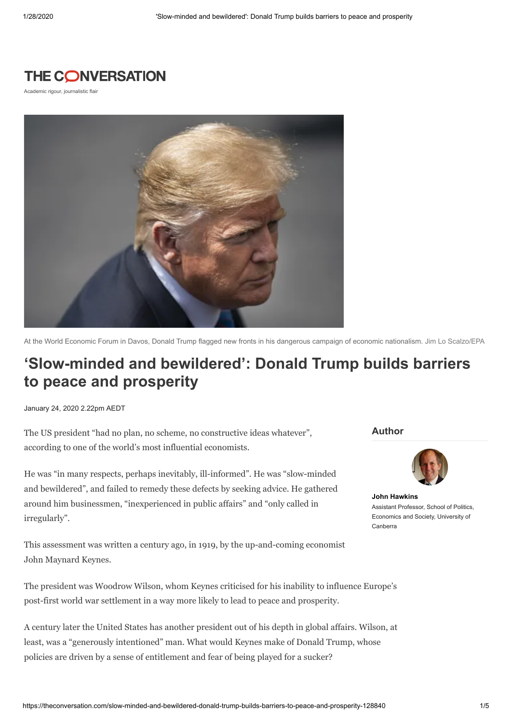## THE CONVERSATION

Academic rigour, journalistic flair



At the World Economic Forum in Davos, Donald Trump flagged new fronts in his dangerous campaign of economic nationalism. Jim Lo Scalzo/EPA

# **'Slow-minded and bewildered': Donald Trump builds barriers to peace and prosperity**

January 24, 2020 2.22pm AEDT

The US president "had no plan, no scheme, no constructive ideas whatever", according to one of the world's most influential economists.

He was "in many respects, perhaps inevitably, ill-informed". He was "slow-minded and bewildered", and failed to remedy these defects by seeking advice. He gathered around him businessmen, "inexperienced in public affairs" and "only called in irregularly".

This assessment was written a century ago, in 1919, by the up-and-coming economist John Maynard Keynes.

The president was Woodrow Wilson, whom Keynes criticised for his inability to influence Europe's post-first world war settlement in a way more likely to lead to peace and prosperity.

A century later the United States has another president out of his depth in global affairs. Wilson, at least, was a "generously intentioned" man. What would Keynes make of Donald Trump, whose policies are driven by a sense of entitlement and fear of being played for a sucker?

**Author**



**John [Hawkins](https://theconversation.com/profiles/john-hawkins-746285)** Assistant Professor, School of Politics Economics and Society, University of Canberra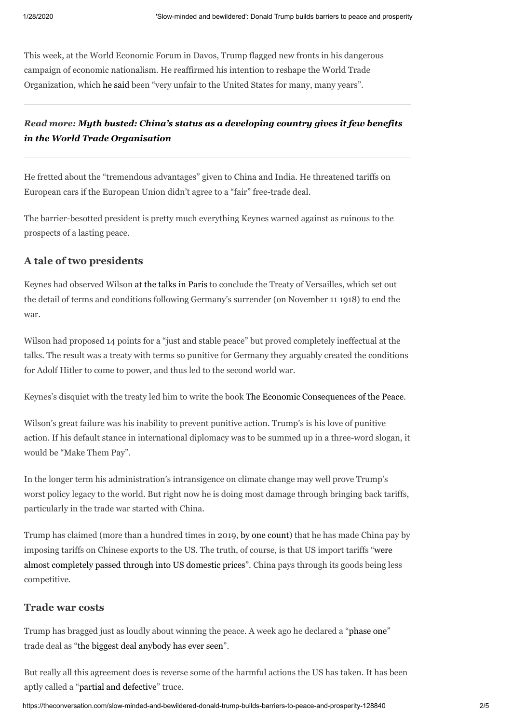This week, at the World Economic Forum in Davos, Trump flagged new fronts in his dangerous campaign of economic nationalism. He reaffirmed his intention to reshape the World Trade Organization, which he [said](https://www.indiatoday.in/business/davos-2020/story/davos-summit-us-developing-nation-too-wto-unfair-years-donald-trump-1639275-2020-01-23) been "very unfair to the United States for many, many years".

### *Read more: Myth busted: [China's status](http://theconversation.com/myth-busted-chinas-status-as-a-developing-country-gives-it-few-benefits-in-the-world-trade-organisation-124602) as a developing country gives it few benefits in the World Trade Organisation*

He fretted about the "tremendous advantages" given to China and India. He threatened tariffs on European cars if the European Union didn't agree to a "fair" free-trade deal.

The barrier-besotted president is pretty much everything Keynes warned against as ruinous to the prospects of a lasting peace.

#### **A tale of two presidents**

Keynes had observed Wilson at the talks in [Paris](https://insidestory.org.au/recalling-the-consequences-of-keyness-economic-consequences-of-the-peace/) to conclude the Treaty of Versailles, which set out the detail of terms and conditions following Germany's surrender (on November 11 1918) to end the war.

Wilson had proposed 14 points for a "just and stable peace" but proved completely ineffectual at the talks. The result was a treaty with terms so punitive for Germany they arguably created the conditions for Adolf Hitler to come to power, and thus led to the second world war.

Keynes's disquiet with the treaty led him to write the book The Economic [Consequences](https://oll.libertyfund.org/titles/keynes-the-economic-consequences-of-the-peace) of the Peace.

Wilson's great failure was his inability to prevent punitive action. Trump's is his love of punitive action. If his default stance in international diplomacy was to be summed up in a three-word slogan, it would be "Make Them Pay".

In the longer term his administration's intransigence on climate change may well prove Trump's worst policy legacy to the world. But right now he is doing most damage through bringing back tariffs, particularly in the trade war started with China.

Trump has claimed (more than a hundred times in 2019, by one [count\)](https://finance.yahoo.com/news/trump-has-made-this-false-claim-about-china-and-tariffs-at-least-100-times-182318319.html) that he has made China pay by imposing tariffs on Chinese exports to the US. The truth, of course, is that US import tariffs "were almost [completely](https://www.jstor.org/stable/26796842?seq=1#metadata_info_tab_contents) passed through into US domestic prices". China pays through its goods being less competitive.

#### **Trade war costs**

Trump has bragged just as loudly about winning the peace. A week ago he declared a ["phase](https://ustr.gov/about-us/policy-offices/press-office/press-releases/2020/january/economic-and-trade-agreement-between-government-united-states-and-government-peoples-republic-china) one" trade deal as "the biggest deal [anybody](https://www.whitehouse.gov/briefings-statements/remarks-president-trump-signing-u-s-china-phase-one-trade-agreement-2/) has ever seen".

But really all this agreement does is reverse some of the harmful actions the US has taken. It has been aptly called a "partial and [defective](https://www.ft.com/content/65557ec4-3851-11ea-a6d3-9a26f8c3cba4)" truce.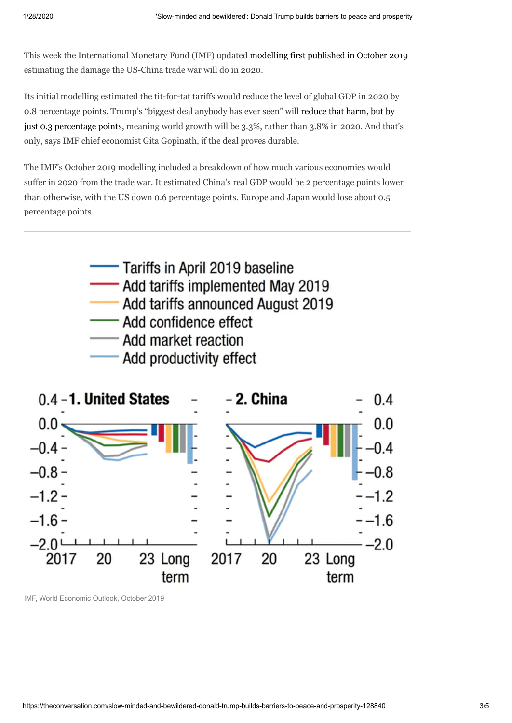This week the International Monetary Fund (IMF) updated [modelling](https://www.imf.org/en/Publications/WEO/Issues/2019/10/01/world-economic-outlook-october-2019#Chapter%201) first published in October 2019 estimating the damage the US-China trade war will do in 2020.

Its initial modelling estimated the tit-for-tat tariffs would reduce the level of global GDP in 2020 by 0.8 percentage points. Trump's "biggest deal anybody has ever seen" will reduce that harm, but by just 0.3 [percentage](https://blogs.imf.org/2020/01/20/tentative-stabilization-sluggish-recovery/) points, meaning world growth will be 3.3%, rather than 3.8% in 2020. And that's only, says IMF chief economist Gita Gopinath, if the deal proves durable.

The IMF's October 2019 modelling included a breakdown of how much various economies would suffer in 2020 from the trade war. It estimated China's real GDP would be 2 percentage points lower than otherwise, with the US down 0.6 percentage points. Europe and Japan would lose about 0.5 percentage points.





[IMF, World Economic Outlook, October 2019](https://www.imf.org/en/Publications/WEO/Issues/2019/10/01/world-economic-outlook-october-2019#Chapter%201)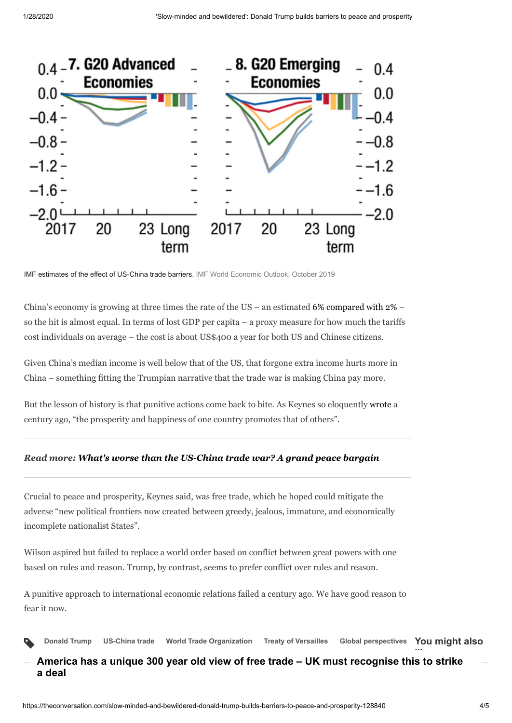

IMF estimates of the effect of US-China trade barriers. [IMF World Economic Outlook, October 2019](https://www.imf.org/en/Publications/WEO/Issues/2019/10/01/world-economic-outlook-october-2019#Chapter%201)

China's economy is growing at three times the rate of the US – an estimated 6% [compared](https://www.imf.org/external/pubs/ft/weo/2019/02/weodata/index.aspx) with  $2\%$  – so the hit is almost equal. In terms of lost GDP per capita – a proxy measure for how much the tariffs cost individuals on average – the cost is about US\$400 a year for both US and Chinese citizens.

Given China's median income is well below that of the US, that forgone extra income hurts more in China – something fitting the Trumpian narrative that the trade war is making China pay more.

But the lesson of history is that punitive actions come back to bite. As Keynes so eloquently [wrote](https://books.google.com.au/books?id=Rl2LDwAAQBAJ&pg=PT34&lpg=PT34&dq=%22the+prosperity+and+happiness+of+one+country+promotes+that+of+others%22&source=bl&ots=dYmXtXL7wQ&sig=ACfU3U1aFdrZ1dXO_U_rILYVHXfYezSlrg&hl=en&sa=X&ved=2ahUKEwjn09makZvnAhU26XMBHVOKChAQ6AEwA3oECAYQAQ#v=onepage&q=%22the%20prosperity%20and%20happiness%20of%20one%20country%20promotes%20that%20of%20others%22&f=false) a century ago, "the prosperity and happiness of one country promotes that of others".

#### *Read more: What's worse than the [US-China](http://theconversation.com/whats-worse-than-the-us-china-trade-war-a-grand-peace-bargain-111608) trade war? A grand peace bargain*

Crucial to peace and prosperity, Keynes said, was free trade, which he hoped could mitigate the adverse "new political frontiers now created between greedy, jealous, immature, and economically incomplete nationalist States".

Wilson aspired but failed to replace a world order based on conflict between great powers with one based on rules and reason. Trump, by contrast, seems to prefer conflict over rules and reason.

A punitive approach to international economic relations failed a century ago. We have good reason to fear it now.



**[America has a unique 300 year old view of free trade – UK must recognise this to strike](https://theconversation.com/america-has-a-unique-300-year-old-view-of-free-trade-uk-must-recognise-this-to-strike-a-deal-130490) a deal**